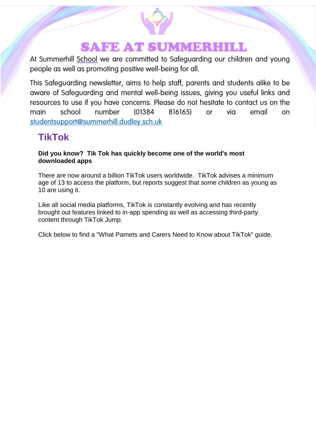

# **SAFE AT SUMMERHILL**

At Summerhill School we are committed to Safeguarding our children and young people as well as promoting positive well-being for all.

This Safeguarding newsletter, aims to help staff, parents and students alike to be aware of Safeguarding and mental well-being issues, giving you useful links and resources to use if you have concerns. Please do not hesitate to contact us on the school number 816165) email main (01384 via <sub>on</sub> or studentsupport@summerhill.dudley.sch.uk

# **TikTok**

**Did you know? Tik Tok has quickly become one of the world's most downloaded apps**

There are now around a billion TikTok users worldwide. TikTok advises a minimum age of 13 to access the platform, but reports suggest that some children as young as 10 are using it.

Like all social media platforms, TikTok is constantly evolving and has recently brought out features linked to in-app spending as well as accessing third-party content through TikTok Jump.

Click below to find a "What Parnets and Carers Need to Know about TikTok" guide.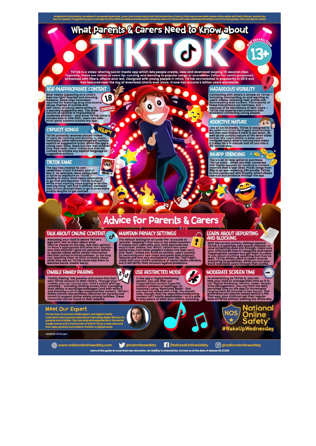bout online safety with their children, should they<br>ty com for further quides. hints and tips for adults

RESTRICTION

 $3+$ 

 $\mathbf{G}$ 

9

# What Parents & Carers Need to Know about

TikTok is a video-sharing social media app which lets people create, view and download looping 15-second clips.<br>Typically, these are videos of users lip-syncing and dancing to popular songs or soundbites (often for comic p

 $\bullet$ 

 $\bullet$ 

 $\bullet$ 

## **AGE-INAPPROPRIATE CONTENT**

Most videos appearing on a child's<br>feed are light-heatted and amusing.<br>However, some clips have been allocated and amusing.<br>reported for featuring drug and alcohol<br>abuse, themes of suicide and<br>self-harm, or young teens act 18 **CENSOR** 

#### **EXPLICIT SONGS**

W&A TikTok primarily revolves around videos<br>Inevitably, some featured adaptation is music.<br>Inevitably, some featured songs will contain<br>sypilcit or suggestive lyrics. Given the app's<br>young user-base, there is a risk that child Ω

 $55$ 

## **TIKTOK FAME**

The app has created its own<br>clearities: Charl D'Amelio and Lil<br>Nas X, for example, were cataputed<br>to fame by exposure on TikTok Temple<br>leading to many more teens attempting<br>to ago viral and become "TikTok famous"<br>while mos EURO

# **HAZARDOUS VISIBILITY**

Connecting with others is simple on TikTok-<br>including commenting on and reacting to<br>users' videos, following their profile and<br>downloading their profile and<br>these interactions are harmless, but –<br>because of its abundance o

## **ADDICTIVE NATURE**

like all social media, TikTok is designed to<br>be addictive. It can be hugely entertaining<br>but that also makes it hard to put down. As<br>well as the punchy nature of the short video<br>formal, the app's ability to keep users<br>intr

## **IN-APP SPENDING**

**LEARN ABOUT REPORTING** 

With the correct privacy settings applied, in TikTok is a relatively safe space. However, in case something does slip through, make sure your child knows how to recognise and reporting your child knows how to recognise and

**AND BLOCKING** 

aching its guidelines<br>ck individual users th

There's an in-app option to purchase<br>"TikTok coins", which are then converted<br>into digital rewards for sending to content<br>creators that a user likes. Prices range from<br>98p to an eye-watering £98 bundle. TikTok<br>Is diso conn

iya K



**MAINTAIN PRIVACY SETTINGS** 

F

#### **TALK ABOUT ONLINE CONTENT**

Assuming your child is above Tikracks<br>
Assuming the distance of the operator of the distance of the distance of the distance of the distance of the properties on what's appropriate and what isn't. Explain<br>
on what's approp d

#### **ENABLE FAMILY PAIRING**

 $d/d$ 'Family Pairing' lets parents and carers link their<br>own TikTok account to their child's . Through your<br>mobile, you can control your child's safety settings<br>remotely – including limiting screen time, managing<br>their ability olo.<br>ty Centurpolity<br>es can be<br>es can be

## Meet Our Expert

**CCLCCC** = Extrapalla expert and digital media<br>on Kaur is a social media expert and digital media<br>sultant who is passionate about improving digital litera and hus extensive exper<br>le founder of Kids N Click<br>d children thrive in a dig

**SOURCES TikTok.cpm** 

(B) www.nationalonlinesafety.com

"private" it setting for all under 18s' accounts to<br>it means to septing it that way is the safest solution:<br>which a highly users who yetter full the prior set can<br>write the final transfer of the prior of the prior own<br>by r the second setting for all under 16s' accounts to<br>the default setting for all under 16s' accounts to<br>trivate'. Keeping it that way is the safest solution 1

## **USE RESTRICTED MODE**

in the app's 'Digital Wellbeing'<br>section, you can filter out<br>inappropriate content (specific<br>content creators or hashings, for<br>instance) using 'Restricted Mode'. This<br>can then be locked with a PiN. You should<br>content isn't



# As entertaining as TikTok is, you can<br>help your child to manage their time on it in<br>the 'Digital Wellbeing' section. Under 'Screen<br>Time Management', you can limit the daily<br>permitted time on the app (in increments<br>canging

content isn't totally dependable –<br>to stay aware of what your child is so it's wi<br>watchin



@natonlinesafety

**A** /NationalOnlineSafety Users of this guide do so at their own discretion. No liability is entered into. Current as of the date of release: 03.11.2021

C @nationalonlinesafety

ın get t